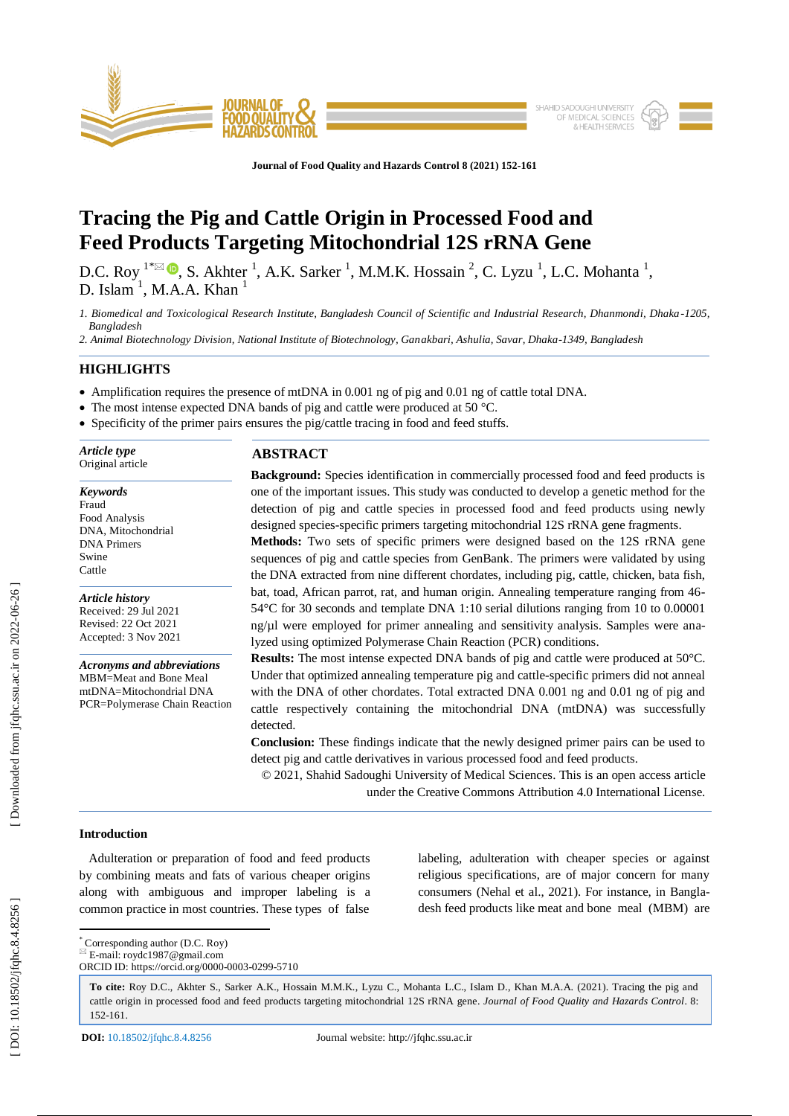

**Journal of Food Quality and Hazards Control 8 (2021) 152 - 161**

# **Tracing the Pig and Cattle Origin in Processed Food and Feed Products Targeting Mitochondrial 12S rRNA Gene**

D.C. Roy <sup>1\*</sup> $\boxtimes$   $\bullet$ , S. Akhter <sup>1</sup>, A.K. Sarker <sup>1</sup>, M.M.K. Hossain <sup>2</sup>, C. Lyzu <sup>1</sup>, L.C. Mohanta <sup>1</sup>, D. Islam<sup>1</sup>, M.A.A. Khan<sup>1</sup>

*1. Biomedical and Toxicological Research Institute, Bangladesh Council of Scientific and Industrial Research, Dhanmondi, Dhaka -1205, Bangladesh*

*2. Animal Biotechnology Division, National Institute of Biotechnology, Ganakbari, Ashulia, Savar, Dhaka -1349, Bangladesh*

# **HIGHLIGHTS**

*Article type* Original article

*Keywords* Fraud Food Analysis DNA, Mitochondrial DNA Primers Swine Cattle

*Article history* Received: 29 Jul 2021 Revised: 22 Oct 2021 Accepted: 3 Nov 2021

*Acronyms and abbreviations* MBM=Meat and Bone Meal mtDNA=Mitochondrial DNA PCR=Polymerase Chain Reaction

- Amplification requires the presence of mtDNA in 0.001 ng of pig and 0.01 ng of cattle total DNA.
- The most intense expected DNA bands of pig and cattle were produced at 50 °C.
- Specificity of the primer pairs ensures the pig/cattle tracing in food and feed stuffs.

**Background:** Species identification in commercially processed food and feed products is one of the important issues. This study was conducted to develop a genetic method for the detection of pig and cattle species in processed food and feed products using newly designed species -specific primers targeting mitochondrial 12S rRNA gene fragments.

**Methods:** Two sets of specific primers were designed based on the 12S rRNA gene sequences of pig and cattle species from GenBank. The primers were validated by using the DNA extracted from nine different chordates, including pig, cattle, chicken, bata fish, bat, toad, African parrot, rat, and human origin. Annealing temperature ranging from 46 - 54°C for 30 seconds and template DNA 1:10 serial dilutions ranging from 10 to 0.00001 ng/µl were employed for primer annealing and sensitivity analysis. Samples were analyzed using optimized Polymerase Chain Reaction (PCR) conditions.

**Results:** The most intense expected DNA bands of pig and cattle were produced at 50°C. Under that optimized annealing temperature pig and cattle -specific primers did not anneal with the DNA of other chordates. Total extracted DNA 0.001 ng and 0.01 ng of pig and cattle respectively containing the mitochondrial DNA (mtDNA) was successfully detected.

**Conclusion:** These findings indicate that the newly designed primer pairs can be used to detect pig and cattle derivatives in various processed food and feed products.

© 20 2 1, Shahid Sadoughi University of Medical Sciences. This is an open access article under the Creative Commons Attribution 4.0 International License.

# **Introduction**

 Adulteration or preparation of food and feed products by combining meats and fats of various cheaper origins along with ambiguous and improper labeling is a common practice in most countries. These types of false labeling, adulteration with cheaper species or against religious specifications, are of major concern for many consumers (Nehal et al., 2021). For instance, in Bangladesh feed products like meat and bone meal (MBM) are

 \* Corresponding author (D.C. Roy)  $E$ -mail: roydc1987@gmail.com

**To cite:** Roy D.C., Akhter S., Sarker A.K., Hossain M.M.K., Lyzu C., Mohanta L.C., Islam D., Khan M.A.A. (2021). Tracing the pig and cattle origin in processed food and feed products targeting mitochondrial 12S rRNA gene. *Journal of Food Quality and Hazards Control*. 8: 152 - 161 .

ORCID ID: https://orcid.org/0000 -0003 -0299 -5710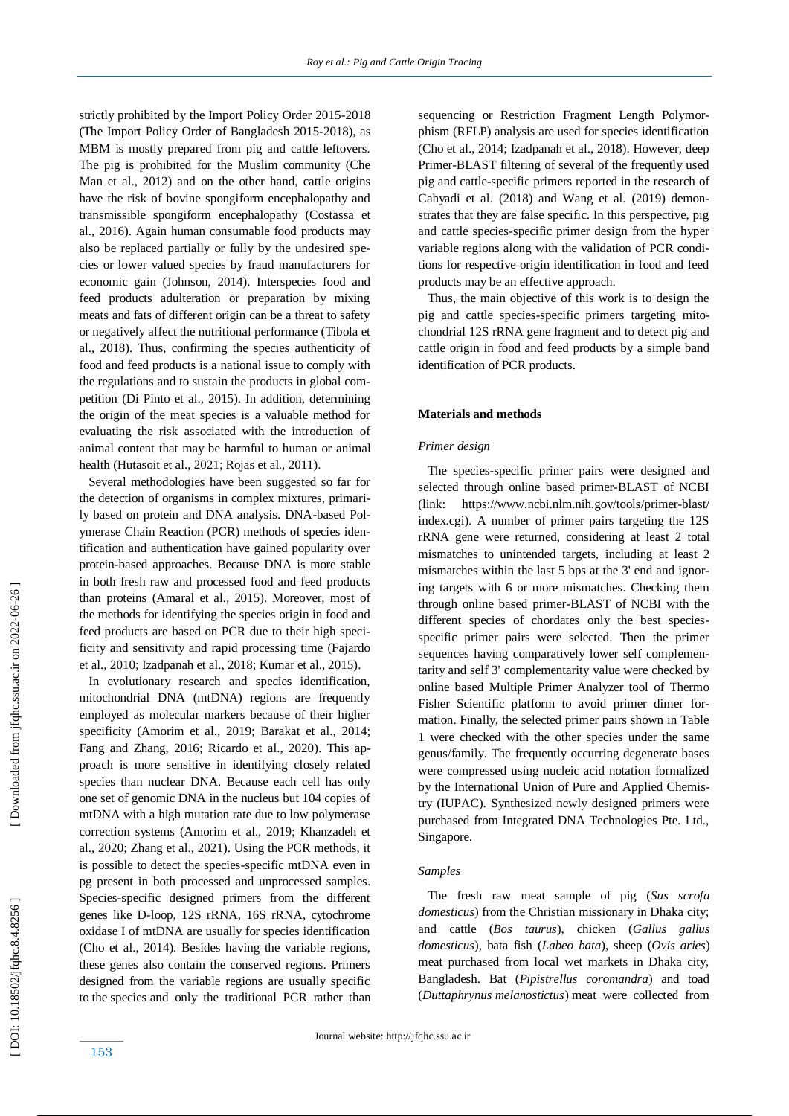strictly prohibited by the Import Policy Order 2015 -2018 (The Import Policy Order of Bangladesh 2015 -2018), as MBM is mostly prepared from pig and cattle leftovers. The pig is prohibited for the Muslim community (Che Man et al., 2012) and on the other hand, cattle origins have the risk of bovine spongiform encephalopathy and transmissible spongiform encephalopathy (Costassa et al., 2016). Again human consumable food products may also be replaced partially or fully by the undesired species or lower valued species by fraud manufacturers for economic gain (Johnson, 2014). Interspecies food and feed products adulteration or preparation by mixing meats and fats of different origin can be a threat to safety or negatively affect the nutritional performance (Tibola et al., 2018). Thus, confirming the species authenticity of food and feed products is a national issue to comply with the regulations and to sustain the products in global competition (Di Pinto et al., 2015). In addition, determining the origin of the meat species is a valuable method for evaluating the risk associated with the introduction of animal content that may be harmful to human or animal health (Hutasoit et al., 2021; Rojas et al., 2011) .

 Several methodologies have been suggested so far for the detection of organisms in complex mixtures, primarily based on protein and DNA analysis. DNA-based Polymerase Chain Reaction (PCR) methods of species identification and authentication have gained popularity over protein -based approaches. Because DNA is more stable in both fresh raw and processed food and feed products than proteins (Amaral et al., 2015). Moreover, most of the methods for identifying the species origin in food and feed products are based on PCR due to their high specificity and sensitivity and rapid processing time (Fajardo et al., 2010; Izadpanah et al., 2018; Kumar et al., 2015) .

 In evolutionary research and species identification, mitochondrial DNA (mtDNA) regions are frequently employed as molecular markers because of their higher specificity (Amorim et al., 2019; Barakat et al., 2014; Fang and Zhang, 2016; Ricardo et al., 2020). This approach is more sensitive in identifying closely related species than nuclear DNA. Because each cell has only one set of genomic DNA in the nucleus but 104 copies of mtDNA with a high mutation rate due to low polymerase correction systems (Amorim et al., 2019; Khanzadeh et al., 2020; Zhang et al., 2021). Using the PCR methods, it is possible to detect the species -specific mtDNA even in pg present in both processed and unprocessed samples. Species -specific designed primers from the different genes like D -loop, 12S rRNA, 16S rRNA, cytochrome oxidase I of mtDNA are usually for species identification (Cho et al., 2014). Besides having the variable regions, these genes also contain the conserved regions. Primers designed from the variable regions are usually specific to the species and only the traditional PCR rather than

sequencing or Restriction Fragment Length Polymorphism (RFLP) analysis are used for species identification (Cho et al., 2014; Izadpanah et al., 2018). However, deep Primer [-BLAST](https://www.ncbi.nlm.nih.gov/tools/primer-blast/index.cgi) filtering of several of the frequently used pig and cattle -specific primers reported in the research of Cahyadi et al. (2018) and Wang et al. (2019) demonstrates that they are false specific. In this perspective, pig and cattle species -specific primer design from the hyper variable regions along with the validation of PCR conditions for respective origin identification in food and feed products may be an effective approach.

 Thus, the main objective of this work is to design the pig and cattle species -specific primers targeting mitochondrial 12S rRNA gene fragment and to detect pig and cattle origin in food and feed products by a simple band identification of PCR products.

# **Materials and methods**

# *Primer design*

 The species -specific primer pairs were designed and selected through online based primer -BLAST of NCBI (link: https://www.ncbi.nlm.nih.gov/tools/primer -blast/ index.cgi). A number of primer pairs targeting the 12S rRNA gene were returned, considering at least 2 total mismatches to unintended targets, including at least 2 mismatches within the last 5 bps at the 3' end and ignoring targets with 6 or more mismatches. Checking them through online based primer -BLAST of NCBI with the different species of chordates only the best speciesspecific primer pairs were selected. Then the primer sequences having comparatively lower self complementarity and self 3' complementarity value were checked by online based Multiple Primer Analyzer tool of Thermo Fisher Scientific platform to avoid primer dimer formation. Finally, the selected primer pairs shown in Table 1 were checked with the other species under the same genus/family. The frequently occurring degenerate bases were compressed using nucleic acid notation formalized by the International Union of Pure and Applied Chemistry (IUPAC). Synthesized newly designed primers were purchased from Integrated DNA Technologies Pte. Ltd., Singapore.

## *Samples*

 The fresh raw meat sample of pig (*Sus scrofa domesticus*) from the Christian missionary in Dhaka city; and cattle (*Bos taurus*), chicken (*Gallus gallus domesticus*), bata fish (*Labeo bata*), sheep (*Ovis aries*) meat purchased from local wet markets in Dhaka city, Bangladesh. Bat (*Pipistrellus coromandra*) and toad (*Duttaphrynus melanostictus*) meat were collected from

153

DOI: 10.18502/jfqhc.8.4.8256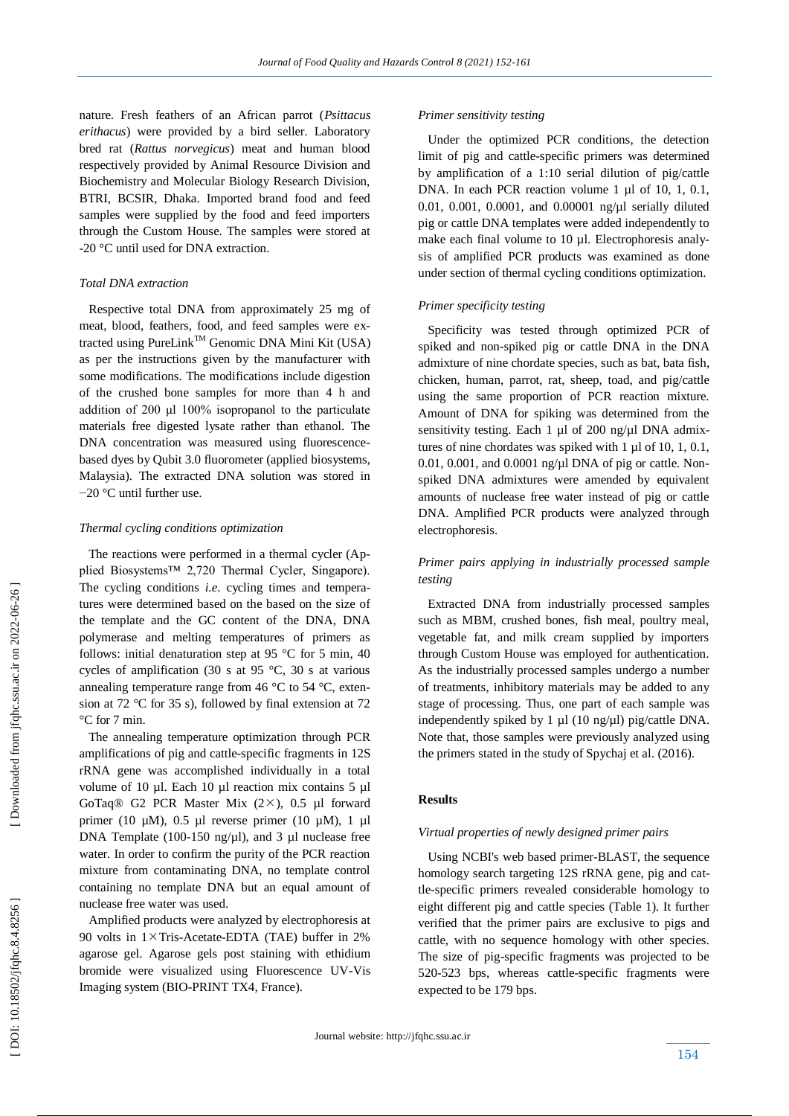nature. Fresh feathers of an African parrot (*Psittacus erithacus*) were provided by a bird seller. Laboratory bred rat (*Rattus norvegicus*) meat and human blood respectively provided by Animal Resource Division and Biochemistry and Molecular Biology Research Division, BTRI, BCSIR, Dhaka. Imported brand food and feed samples were supplied by the food and feed importers through the Custom House. The samples were stored at -20 °C until used for DNA extraction.

# *Total DNA extraction*

 Respective total DNA from approximately 25 mg of meat, blood, feathers, food, and feed samples were extracted using PureLink<sup>TM</sup> Genomic DNA Mini Kit (USA) as per the instructions given by the manufacturer with some modifications. The modifications include digestion of the crushed bone samples for more than 4 h and addition of 200 μl 100% isopropanol to the particulate materials free digested lysate rather than ethanol. The DNA concentration was measured using fluorescence based dyes by Qubit 3.0 fluorometer (applied biosystems, Malaysia). The extracted DNA solution was stored in −20 °C until further use.

#### *Thermal cycling conditions optimization*

 The reactions were performed in a thermal cycler (Applied Biosystems™ 2,720 Thermal Cycler, Singapore). The cycling conditions *i.e.* cycling times and temperatures were determined based on the based on the size of the template and the GC content of the DNA, DNA polymerase and melting temperatures of primers as follows: initial denaturation step at 95  $\degree$ C for 5 min, 40 cycles of amplification (30 s at 95 °C, 30 s at various annealing temperature range from 46  $\degree$ C to 54  $\degree$ C, extension at 72 °C for 35 s), followed by final extension at 72 °C for 7 min.

 The annealing temperature optimization through PCR amplifications of pig and cattle -specific fragments in 12S rRNA gene was accomplished individually in a total volume of 10 µl. Each 10 µl reaction mix contains 5 µl GoTaq<sup>®</sup> G<sub>2</sub> PCR Master Mix  $(2 \times)$ , 0.5 µl forward primer (10  $\mu$ M), 0.5  $\mu$ l reverse primer (10  $\mu$ M), 1  $\mu$ l DNA Template (100-150 ng/ $\mu$ l), and 3  $\mu$ l nuclease free water. In order to confirm the purity of the PCR reaction mixture from contaminating DNA, no template control containing no template DNA but an equal amount of nuclease free water was used.

 Amplified products were analyzed by electrophoresis at 90 volts in  $1 \times$ Tris-Acetate-EDTA (TAE) buffer in 2% agarose gel. Agarose gels post staining with ethidium bromide were visualized using Fluorescence UV -Vis Imaging system (BIO -PRINT TX4, France).

#### *Primer sensitivity testing*

 Under the optimized PCR conditions, the detection limit of pig and cattle -specific primers was determined by amplification of a 1:10 serial dilution of pig/cattle DNA. In each PCR reaction volume 1 µl of 10, 1, 0.1, 0.01, 0.001, 0.0001, and 0.00001 ng/µl serially diluted pig or cattle DNA templates were added independently to make each final volume to 10 µl. Electrophoresis analysis of amplified PCR products was examined as done under section of thermal cycling conditions optimization.

#### *Primer specificity testing*

 Specificity was tested through optimized PCR of spiked and non -spiked pig or cattle DNA in the DNA admixture of nine chordate species, such as bat, bata fish, chicken, human, parrot, rat, sheep, toad, and pig/cattle using the same proportion of PCR reaction mixture. Amount of DNA for spiking was determined from the sensitivity testing. Each 1 µl of 200 ng/µl DNA admixtures of nine chordates was spiked with 1 µl of 10, 1, 0.1,  $0.01$ ,  $0.001$ , and  $0.0001$  ng/ $\mu$ l DNA of pig or cattle. Nonspiked DNA admixtures were amended by equivalent amounts of nuclease free water instead of pig or cattle DNA. Amplified PCR products were analyzed through electrophoresis.

# *Primer pairs applying in industrially processed sample testing*

 Extracted DNA from industrially processed samples such as MBM, crushed bones, fish meal, poultry meal, vegetable fat, and milk cream supplied by importers through Custom House was employed for authentication. As the industrially processed samples undergo a number of treatments, inhibitory materials may be added to any stage of processing. Thus, one part of each sample was independently spiked by 1 µl (10 ng/µl) pig/cattle DNA. Note that, those samples were previously analyzed using the primers stated in the study of Spychaj et al. (2016) .

## **Results**

#### *Virtual properties of newly designed primer pairs*

 Using NCBI's web based primer -BLAST, the sequence homology search targeting 12S rRNA gene, pig and cattle-specific primers revealed considerable homology to eight different pig and cattle species (Table 1). It further verified that the primer pairs are exclusive to pigs and cattle, with no sequence homology with other species. The size of pig -specific fragments was projected to be 520 -523 bps, whereas cattle - specific fragments were expected to be 179 bps.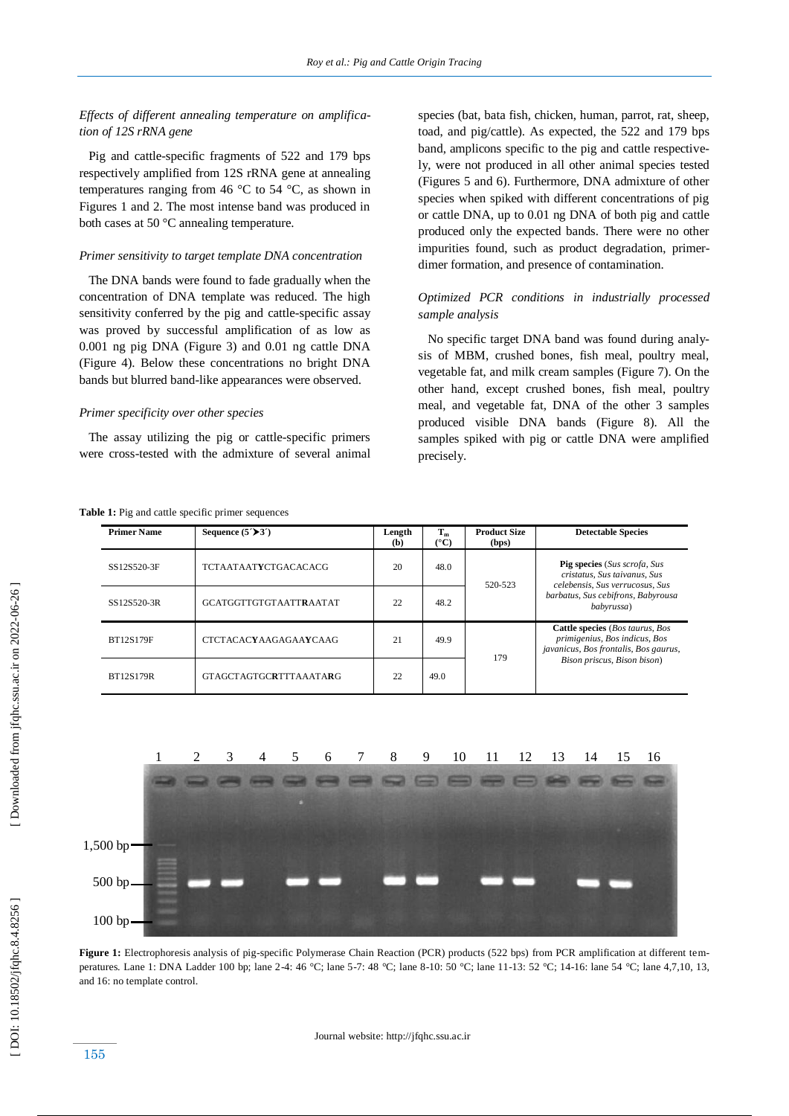*Effects of different annealing temperature on amplification of 12S rRNA gene*

 Pig and cattle -specific fragments of 522 and 179 bps respectively amplified from 12S rRNA gene at annealing temperatures ranging from 46  $\degree$ C to 54  $\degree$ C, as shown in Figures 1 and 2. The most intense band was produced in both cases at 50 °C annealing temperature.

#### *Primer sensitivity to target template DNA concentration*

 The DNA bands were found to fade gradually when the concentration of DNA template was reduced. The high sensitivity conferred by the pig and cattle-specific assay was proved by successful amplification of as low as 0.001 ng pig DNA (Figure 3) and 0.01 ng cattle DNA (Figure 4). Below these concentrations no bright DNA bands but blurred band -like appearances were observed.

## *Primer specificity over other species*

The assay utilizing the pig or cattle-specific primers were cross -tested with the admixture of several animal species (bat, bata fish, chicken, human, parrot, rat, sheep, toad, and pig/cattle). As expected, the 522 and 179 bps band, amplicons specific to the pig and cattle respectively, were not produced in all other animal species tested (Figures 5 and 6). Furthermore, DNA admixture of other species when spiked with different concentrations of pig or cattle DNA, up to 0.01 ng DNA of both pig and cattle produced only the expected bands. There were no other impurities found, such as product degradation, primer dimer formation, and presence of contamination.

# *Optimized PCR conditions in industrially processed sample analysis*

 No specific target DNA band was found during analysis of MBM, crushed bones, fish meal, poultry meal, vegetable fat, and milk cream samples (Figure 7). On the other hand, except crushed bones, fish meal, poultry meal, and vegetable fat, DNA of the other 3 samples produced visible DNA bands (Figure 8). All the samples spiked with pig or cattle DNA were amplified precisely.

| Table 1: Pig and cattle specific primer sequences |  |  |
|---------------------------------------------------|--|--|
|---------------------------------------------------|--|--|

| <b>Primer Name</b> | Sequence $(5'$ >3 <sup><math>\prime</math></sup> ) | Length<br>(b) | $T_m$<br>(°C) | <b>Product Size</b><br>(bps) | <b>Detectable Species</b>                                                                                                                                  |
|--------------------|----------------------------------------------------|---------------|---------------|------------------------------|------------------------------------------------------------------------------------------------------------------------------------------------------------|
| SS12S520-3F        | <b>TCTAATAATYCTGACACACG</b>                        | 20            | 48.0          | 520-523                      | <b>Pig species</b> (Sus scrofa, Sus<br>cristatus, Sus taivanus, Sus<br>celebensis, Sus verrucosus, Sus<br>barbatus, Sus cebifrons, Babyrousa<br>babyrussa) |
| SS12S520-3R        | <b>GCATGGTTGTGTAATTRAATAT</b>                      | 22            | 48.2          |                              |                                                                                                                                                            |
| <b>BT12S179F</b>   | <b>CTCTACACYAAGAGAAYCAAG</b>                       | 21            | 49.9          | 179                          | Cattle species (Bos taurus, Bos<br>primigenius, Bos indicus, Bos<br>javanicus, Bos frontalis, Bos gaurus,                                                  |
| <b>BT12S179R</b>   | GTAGCTAGTGCRTTTAAATARG                             | 22            | 49.0          |                              | Bison priscus, Bison bison)                                                                                                                                |



Figure 1: Electrophoresis analysis of pig-specific Polymerase Chain Reaction (PCR) products (522 bps) from PCR amplification at different temperatures. Lane 1: DNA Ladder 100 bp; lane 2-4: 46 °C; lane 5-7: 48 °C; lane 8-10: 50 °C; lane 11-13: 52 °C; 14-16: lane 54 °C; lane 4,7,10, 13, and 16: no template control.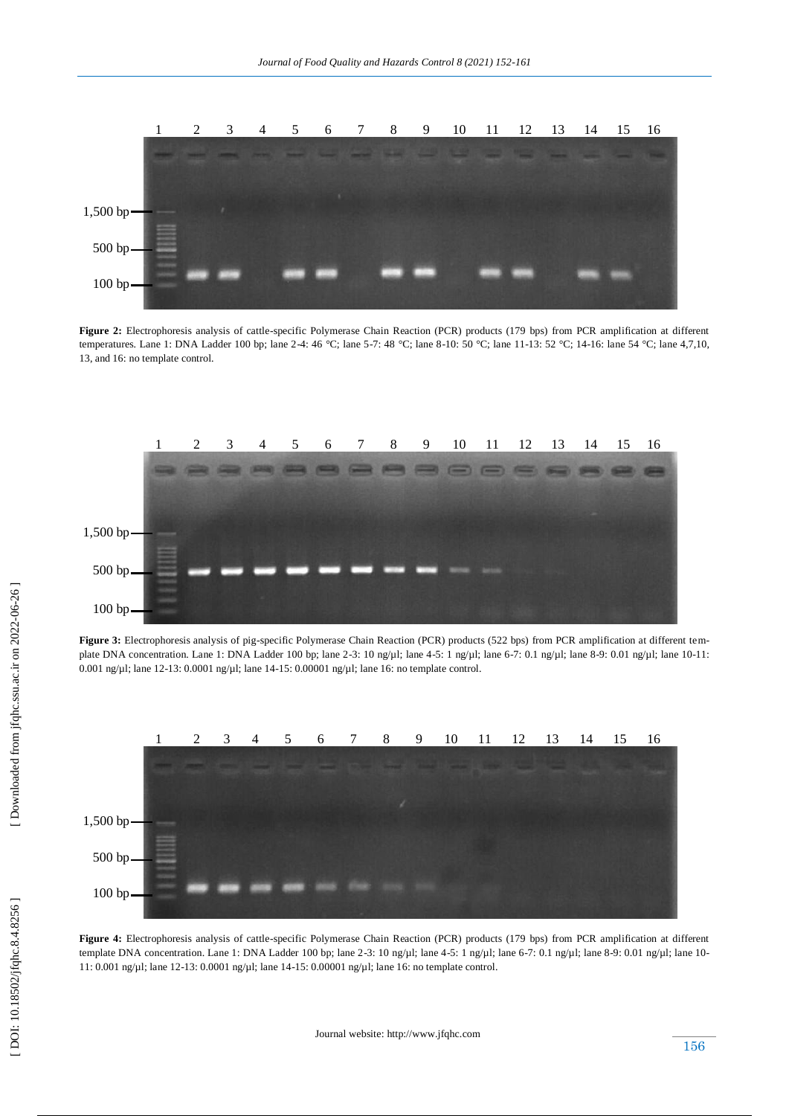

Figure 2: Electrophoresis analysis of cattle-specific Polymerase Chain Reaction (PCR) products (179 bps) from PCR amplification at different temperatures. Lane 1: DNA Ladder 100 bp; lane 2-4: 46 °C; lane 5-7: 48 °C; lane 8-10: 50 °C; lane 11-13: 52 °C; 14-16: lane 54 °C; lane 4,7,10, 13, and 16: no template control.



Figure 3: Electrophoresis analysis of pig-specific Polymerase Chain Reaction (PCR) products (522 bps) from PCR amplification at different template DNA concentration. Lane 1: DNA Ladder 100 bp; lane 2-3: 10 ng/µl; lane 4-5: 1 ng/µl; lane 6-7: 0.1 ng/µl; lane 8-9: 0.01 ng/µl; lane 10-11: 0.001 ng/µl; lane 12-13: 0.0001 ng/µl; lane 14-15: 0.00001 ng/µl; lane 16: no template control.

![](_page_4_Figure_5.jpeg)

Figure 4: Electrophoresis analysis of cattle-specific Polymerase Chain Reaction (PCR) products (179 bps) from PCR amplification at different template DNA concentration. Lane 1: DNA Ladder 100 bp; lane 2-3: 10 ng/µl; lane 4-5: 1 ng/µl; lane 6-7: 0.1 ng/µl; lane 8-9: 0.01 ng/µl; lane 10-11: 0.001 ng/µl; lane 12 -13: 0.0001 ng/µl; lane 14 -15: 0.00001 ng/µl; lane 16: no template control.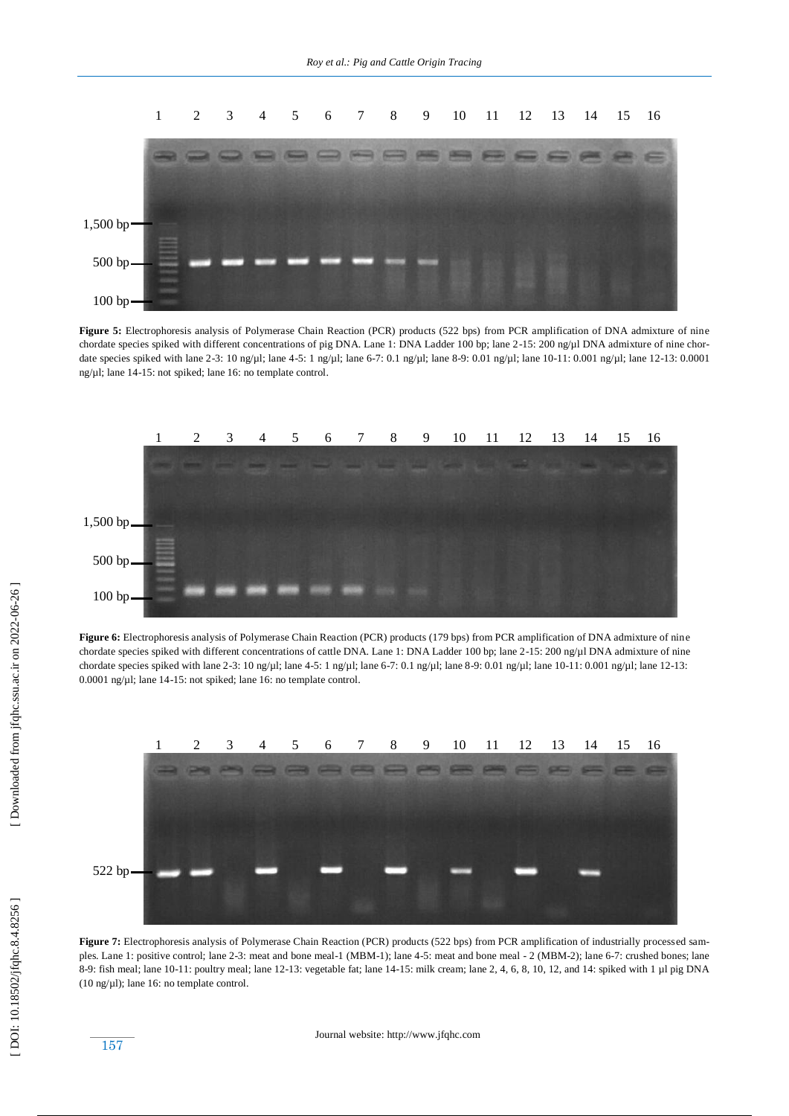![](_page_5_Figure_1.jpeg)

**Figure 5:** Electrophoresis analysis of Polymerase Chain Reaction (PCR) products (522 bps) from PCR amplification of DNA admixture of nine chordate species spiked with different concentrations of pig DNA. Lane 1: DNA Ladder 100 bp; lane 2-15: 200 ng/µl DNA admixture of nine chordate species spiked with lane 2-3: 10 ng/µl; lane 4-5: 1 ng/µl; lane 6-7: 0.1 ng/µl; lane 8-9: 0.01 ng/µl; lane 10-11: 0.001 ng/µl; lane 12-13: 0.0001 ng/µl; lane 14 -15: not spiked; lane 16: no template control.

![](_page_5_Figure_3.jpeg)

**Figure 6:** Electrophoresis analysis of Polymerase Chain Reaction (PCR) products (179 bps) from PCR amplification of DNA admixture of nine chordate species spiked with different concentrations of cattle DNA. Lane 1: DNA Ladder 100 bp; lane 2-15: 200 ng/µl DNA admixture of nine chordate species spiked with lane 2-3: 10 ng/µl; lane 4-5: 1 ng/µl; lane 6-7: 0.1 ng/µl; lane 8-9: 0.01 ng/µl; lane 10-11: 0.001 ng/µl; lane 12-13: 0.0001 ng/µl; lane 14 -15: not spiked; lane 16: no template control.

![](_page_5_Figure_5.jpeg)

**Figure 7:** Electrophoresis analysis of Polymerase Chain Reaction (PCR) products (522 bps) from PCR amplification of industrially processed samples. Lane 1: positive control; lane 2-3: meat and bone meal-1 (MBM-1); lane 4-5: meat and bone meal - 2 (MBM-2); lane 6-7: crushed bones; lane 8-9: fish meal; lane 10-11: poultry meal; lane 12-13: vegetable fat; lane 14-1  $(10 \text{ ng/µl})$ ; lane 16: no template control.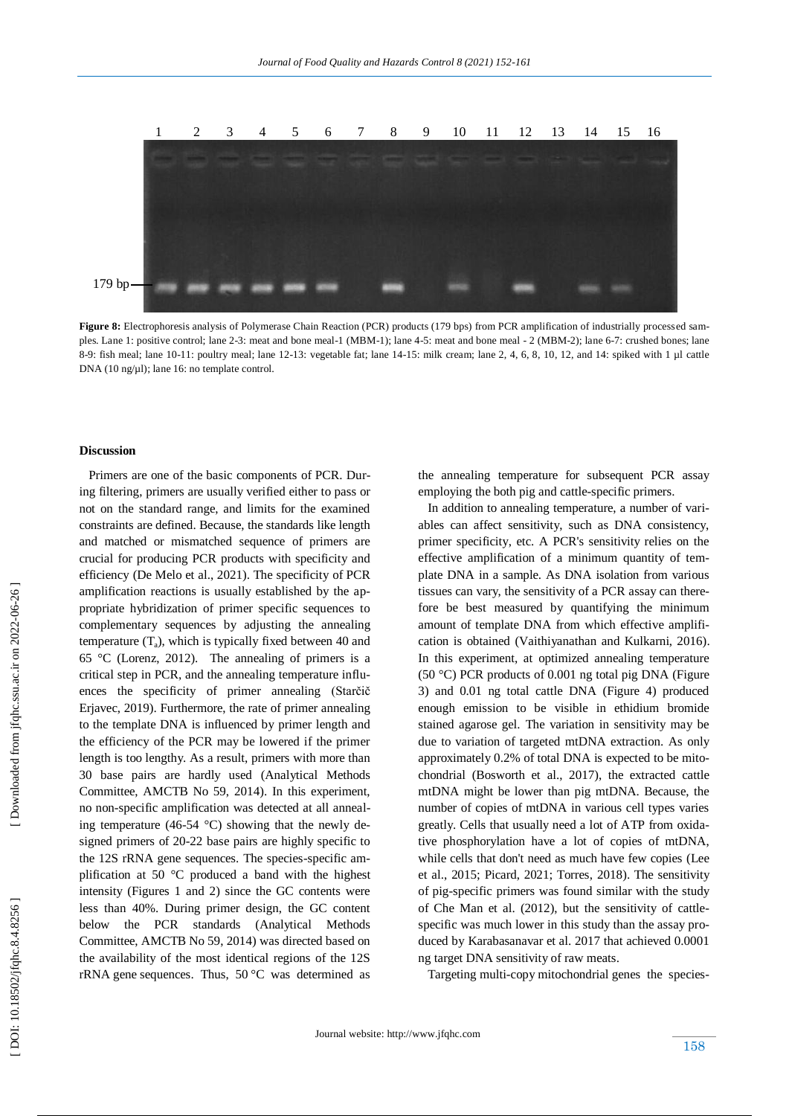![](_page_6_Figure_1.jpeg)

Figure 8: Electrophoresis analysis of Polymerase Chain Reaction (PCR) products (179 bps) from PCR amplification of industrially processed samples. Lane 1: positive control; lane 2-3: meat and bone meal-1 (MBM-1); lane 4-5: meat and bone meal - 2 (MBM-2); lane 6-7: crushed bones; lane 8-9: fish meal; lane 10-11: poultry meal; lane 12-13: vegetable fat; lane 14-1 DNA (10 ng/µl); lane 16: no template control.

#### **Discussion**

 Primers are one of the basic components of PCR. During filtering, primers are usually verified either to pass or not on the standard range, and limits for the examined constraints are defined. Because, the standards like length and matched or mismatched sequence of primers are crucial for producing PCR products with specificity and efficiency (De Melo et al., 2021). The specificity of PCR amplification reactions is usually established by the appropriate hybridization of primer specific sequences to complementary sequences by adjusting the annealing temperature (T <sup>a</sup>), which is typically fixed between 40 and 65 °C (Lorenz, 2012). The annealing of primers is a critical step in PCR, and the annealing temperature influences the specificity of primer annealing (Starčič Erjavec, 2019). Furthermore, the rate of primer annealing to the template DNA is influenced by primer length and the efficiency of the PCR may be lowered if the primer length is too lengthy. As a result, primers with more than 30 base pairs are hardly used (Analytical Methods Committee, AMCTB No 59, 2014). In this experiment, no non -specific amplification was detected at all annealing temperature (46-54  $^{\circ}$ C) showing that the newly designed primers of 20-22 base pairs are highly specific to the 12S rRNA gene sequences. The species -specific amplification at 50 °C produced a band with the highest intensity (Figures 1 and 2) since the GC contents were less than 40%. During primer design, the GC content below the PCR standards (Analytical Methods Committee, AMCTB No 59, 2014) was directed based on the availability of the most identical regions of the 12S rRNA gene sequences. Thus, 50 °C was determined as

the annealing temperature for subsequent PCR assay employing the both pig and cattle -specific primers.

 In addition to annealing temperature, a number of variables can affect sensitivity, such as DNA consistency, primer specificity, etc. A PCR's sensitivity relies on the effective amplification of a minimum quantity of template DNA in a sample. As DNA isolation from various tissues can vary, the sensitivity of a PCR assay can therefore be best measured by quantifying the minimum amount of template DNA from which effective amplifi cation is obtained (Vaithiyanathan and Kulkarni, 2016). In this experiment, at optimized annealing temperature (50 °C) PCR products of 0.001 ng total pig DNA (Figure 3) and 0.01 ng total cattle DNA (Figure 4) produced enough emission to be visible in ethidium bromide stained agarose gel. The variation in sensitivity may be due to variation of targeted mtDNA extraction. As only approximately 0.2% of total DNA is expected to be mitochondrial (Bosworth et al., 2017), the extracted cattle mtDNA might be lower than pig mtDNA. Because, the number of copies of mtDNA in various cell types varies greatly. Cells that usually need a lot of ATP from oxidative phosphorylation have a lot of copies of mtDNA, while cells that don't need as much have few copies (Lee et al., 2015; Picard, 2021; Torres, 2018). The sensitivity of pig -specific primers was found similar with the study of Che Man et al. (2012), but the sensitivity of cattle specific was much lower in this study than the assay produced by Karabasanavar et al. 2017 that achieved 0.0001 ng target DNA sensitivity of raw meats.

Targeting multi -copy mitochondrial genes the species -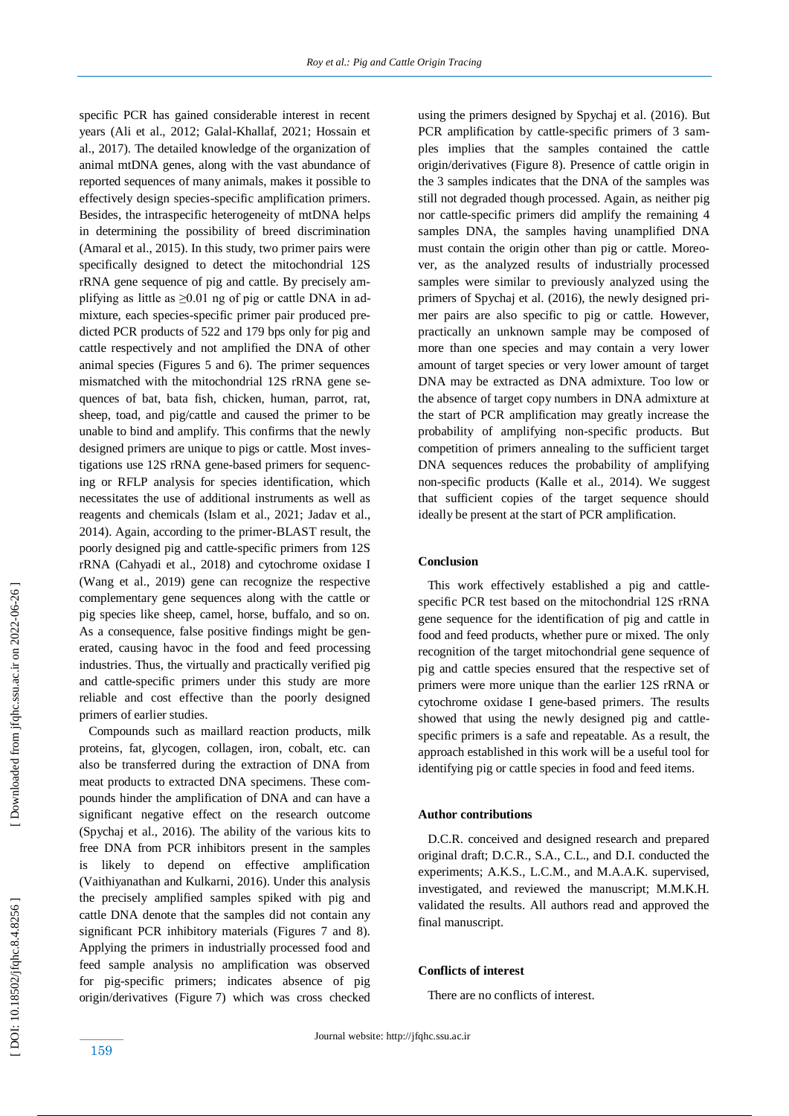specific PCR has gained considerable interest in recent years (Ali et al., 2012; Galal -Khallaf, 2021; Hossain et al., 2017). The detailed knowledge of the organization of animal mtDNA genes, along with the vast abundance of reported sequences of many animals, makes it possible to effectively design species -specific amplification primers. Besides, the intraspecific heterogeneity of mtDNA helps in determining the possibility of breed discrimination (Amaral et al., 2015). In this study, two primer pairs were specifically designed to detect the mitochondrial 12S rRNA gene sequence of pig and cattle. By precisely amplifying as little as  $\geq 0.01$  ng of pig or cattle DNA in admixture, each species-specific primer pair produced predicted PCR products of 522 and 179 bps only for pig and cattle respectively and not amplified the DNA of other animal species (Figures 5 and 6). The primer sequences mismatched with the mitochondrial 12S rRNA gene sequences of bat, bata fish, chicken, human, parrot, rat, sheep, toad, and pig/cattle and caused the primer to be unable to bind and amplify. This confirms that the newly designed primers are unique to pigs or cattle. Most investigations use 12S rRNA gene-based primers for sequencing or RFLP analysis for species identification, which necessitates the use of additional instruments as well as reagents and chemicals (Islam et al., 2021; Jadav et al., 2014). Again, according to the primer -BLAST result, the poorly designed pig and cattle -specific primers from 12S rRNA (Cahyadi et al., 2018) and cytochrome oxidase I (Wang et al., 2019) gene can recognize the respective complementary gene sequences along with the cattle or pig species like sheep, camel, horse, buffalo, and so on. As a consequence, false positive findings might be generated, causing havoc in the food and feed processing industries. Thus, the virtually and practically verified pig and cattle -specific primers under this study are more reliable and cost effective than the poorly designed primers of earlier studies.

 Compounds such as maillard reaction products, milk proteins, fat, glycogen, collagen, iron, cobalt, etc. can also be transferred during the extraction of DNA from meat products to extracted DNA specimens. These compounds hinder the amplification of DNA and can have a significant negative effect on the research outcome (Spychaj et al., 2016). The ability of the various kits to free DNA from PCR inhibitors present in the samples is likely to depend on effective amplification (Vaithiyanathan and Kulkarni, 2016). Under this analysis the precisely amplified samples spiked with pig and cattle DNA denote that the samples did not contain any significant PCR inhibitory materials (Figures 7 and 8). Applying the primers in industrially processed food and feed sample analysis no amplification was observed for pig -specific primers; indicates absence of pig origin/derivatives (Figure 7) which was cross checked

using the primers designed by Spychaj et al. (2016). But PCR amplification by cattle-specific primers of 3 samples implies that the samples contained the cattle origin/derivatives (Figure 8). Presence of cattle origin in the 3 samples indicates that the DNA of the samples was still not degraded though processed. Again, as neither pig nor cattle -specific primers did amplify the remaining 4 samples DNA, the samples having unamplified DNA must contain the origin other than pig or cattle. Moreover, as the analyzed results of industrially processed samples were similar to previously analyzed using the primers of Spychaj et al. (2016), the newly designed primer pairs are also specific to pig or cattle. However, practically an unknown sample may be composed of more than one species and may contain a very lower amount of target species or very lower amount of target DNA may be extracted as DNA admixture. Too low or the absence of target copy numbers in DNA admixture at the start of PCR amplification may greatly increase the probability of amplifying non -specific products. But competition of primers annealing to the sufficient target DNA sequences reduces the probability of amplifying non -specific products (Kalle et al., 2014). We suggest that sufficient copies of the target sequence should ideally be present at the start of PCR amplification.

#### **Conclusion**

This work effectively established a pig and cattlespecific PCR test based on the mitochondrial 12S rRNA gene sequence for the identification of pig and cattle in food and feed products, whether pure or mixed. The only recognition of the target mitochondrial gene sequence of pig and cattle species ensured that the respective set of primers were more unique than the earlier 12S rRNA or cytochrome oxidase I gene -based primers. The results showed that using the newly designed pig and cattle specific primers is a safe and repeatable. As a result, the approach established in this work will be a useful tool for identifying pig or cattle species in food and feed items.

## **Author contributions**

 D.C.R. conceived and designed research and prepared original draft; D.C.R., S.A., C.L., and D.I. conducted the experiments; A.K.S., L.C.M., and M.A.A.K. supervised, investigated, and reviewed the manuscript; M.M.K.H. validated the results. All authors read and approved the final manuscript.

#### **Conflicts of interest**

There are no conflicts of interest.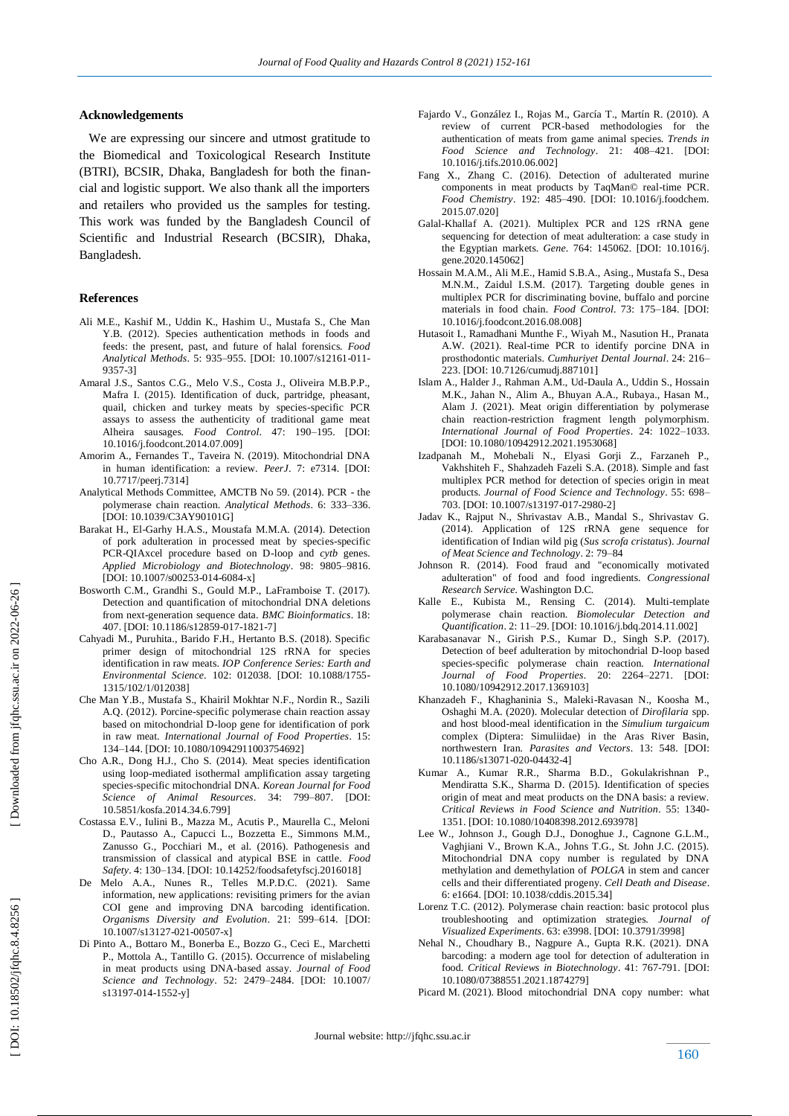## **Acknowledgements**

 We are expressing our sincere and utmost gratitude to the Biomedical and Toxicological Research Institute (BTRI), BCSIR, Dhaka, Bangladesh for both the financial and logistic support. We also thank all the importers and retailers who provided us the samples for testing. This work was funded by the Bangladesh Council of Scientific and Industrial Research (BCSIR), Dhaka, Bangladesh.

#### **Reference s**

- Ali M.E., Kashif M., Uddin K., Hashim U., Mustafa S., Che Man Y.B. (2012). Species authentication methods in foods and feeds: the present, past, and future of halal forensics. *Food Analytical Methods*. 5: 935 –955. [DOI: 10.1007/s12161 -011 - 9357 -3]
- Amaral J.S., Santos C.G., Melo V.S., Costa J., Oliveira M.B.P.P., Mafra I. (2015). Identification of duck, partridge, pheasant, quail, chicken and turkey meats by species -specific PCR assays to assess the authenticity of traditional game meat Alheira sausages. *Food Control*. 47: 190 –195. [DOI: 10.1016/j.foodcont.2014.07.009]
- Amorim A., Fernandes T., Taveira N. (2019). Mitochondrial DNA in human identification: a review. *PeerJ*. 7: e7314. [DOI: 10.7717/peerj.7314]
- Analytical Methods Committee, AMCTB No 59. (2014). PCR the polymerase chain reaction. *Analytical Methods*. 6: 333 –336. [DOI: 10.1039/C3AY90101G]
- Barakat H., El -Garhy H.A.S., Moustafa M.M.A. (2014). Detection of pork adulteration in processed meat by species -specific PCR -QIAxcel procedure based on D -loop and *cytb* genes. *Applied Microbiology and Biotechnology*. 98: 9805 –9816. [DOI: 10.1007/s00253-014-6084-x]
- Bosworth C.M., Grandhi S., Gould M.P., LaFramboise T. (2017). Detection and quantification of mitochondrial DNA deletions from next -generation sequence data. *BMC Bioinformatics*. 18: 407. [DOI: 10.1186/s12859 -017 -1821 -7]
- Cahyadi M., Puruhita., Barido F.H., Hertanto B.S. (2018). Specific primer design of mitochondrial 12S rRNA for species identification in raw meats. *IOP Conference Series: Earth and Environmental Science.* 102: 012038. [DOI: 10.1088/1755 - 1315/102/1/012038]
- Che Man Y.B., Mustafa S., Khairil Mokhtar N.F., Nordin R., Sazili A.Q. (2012). Porcine -specific polymerase chain reaction assay based on mitochondrial D -loop gene for identification of pork in raw meat. *International Journal of Food Properties*. 15: 134 –144. [DOI: 10.1080/10942911003754692]
- Cho A.R., Dong H.J., Cho S. (2014). Meat species identification using loop -mediated isothermal amplification assay targeting species -specific mitochondrial DNA. *Korean Journal for Food Science of Animal Resources*. 34: 799 –807. [DOI: 10.5851/kosfa.2014.34.6.799]
- Costassa E.V., Iulini B., Mazza M., Acutis P., Maurella C., Meloni D., Pautasso A., Capucci L., Bozzetta E., Simmons M.M., Zanusso G., Pocchiari M., et al. (2016). Pathogenesis and transmission of classical and atypical BSE in cattle. *Food Safety*. 4: 130 –134. [DOI: 10.14252/foodsafetyfscj.2016018]
- De Melo A.A., Nunes R., Telles M.P.D.C. (2021). Same information, new applications: revisiting primers for the avian COI gene and improving DNA barcoding identification. *Organisms Diversity and Evolution*. 21: 599 –614. [DOI: 10.1007/s13127 -021 -00507 -x]
- Di Pinto A., Bottaro M., Bonerba E., Bozzo G., Ceci E., Marchetti P., Mottola A., Tantillo G. (2015). Occurrence of mislabeling in meat products using DNA -based assay. *Journal of Food Science and Technology*. 52: 2479 –2484. [DOI: 10.1007/ s13197-014-1552-y]
- Fajardo V., González I., Rojas M., García T., Martín R. (2010). A review of current PCR -based methodologies for the authentication of meats from game animal species. *Trends in Food Science and Technology*. 21: 408 –421. [DOI: 10.1016/j.tifs.2010.06.002]
- Fang X., Zhang C. (2016). Detection of adulterated murine components in meat products by TaqMan© real -time PCR. *Food Chemistry*. 192: 485 –490. [DOI: 10.1016/j.foodchem. 2015.07.020]
- Galal -Khallaf A. (2021). Multiplex PCR and 12S rRNA gene sequencing for detection of meat adulteration: a case study in the Egyptian markets. *Gene*. 764: 145062. [DOI: 10.1016/j. gene.2020.145062]
- Hossain M.A.M., Ali M.E., Hamid S.B.A., Asing., Mustafa S., Desa M.N.M., Zaidul I.S.M. (2017). Targeting double genes in multiplex PCR for discriminating bovine, buffalo and porcine materials in food chain. *Food Control*. 73: 175 –184. [DOI: 10.1016/j.foodcont.2016.08.008]
- Hutasoit I., Ramadhani Munthe F., Wiyah M., Nasution H., Pranata A.W. (2021). Real -time PCR to identify porcine DNA in prosthodontic materials. *Cumhuriyet Dental Journal*. 24: 216 – 223. [DOI: 10.7126/cumudj.887101]
- Islam A., Halder J., Rahman A.M., Ud -Daula A., Uddin S., Hossain M.K., Jahan N., Alim A., Bhuyan A.A., Rubaya., Hasan M., Alam J. (2021). Meat origin differentiation by polymerase chain reaction -restriction fragment length polymorphism. *International Journal of Food Properties*. 24: 1022 –1033. [DOI: 10.1080/10942912.2021.1953068]
- Izadpanah M., Mohebali N., Elyasi Gorji Z., Farzaneh P., Vakhshiteh F., Shahzadeh Fazeli S.A. (2018). Simple and fast multiplex PCR method for detection of species origin in meat products. *Journal of Food Science and Technology*. 55: 698 – 703. [DOI: 10.1007/s13197 -017 -2980 -2]
- Jadav K., Rajput N., Shrivastav A.B., Mandal S., Shrivastav G. (2014). Application of 12S rRNA gene sequence for identification of Indian wild pig (*Sus scrofa cristatus*). *Journal of Meat Science and Technology*. 2: 79 –84
- Johnson R. (2014). Food fraud and "economically motivated adulteration" of food and food ingredients. *Congressional Research Service.* Washington D.C *.*
- Kalle E., Kubista M., Rensing C.  $(2014)$ . Multi-template polymerase chain reaction. *Biomolecular Detection and Quantification*. 2: 11 –29. [DOI: 10.1016/j.bdq.2014.11.002]
- Karabasanavar N., Girish P.S., Kumar D., Singh S.P. (2017). Detection of beef adulteration by mitochondrial D -loop based species -specific polymerase chain reaction. *International Journal of Food Properties.* –2271. [DOI: 10.1080/10942912.2017.1369103]
- Khanzadeh F., Khaghaninia S., Maleki -Ravasan N., Koosha M., Oshaghi M.A. (2020). Molecular detection of *Dirofilaria* spp. and host blood -meal identification in the *Simulium turgaicum* complex (Diptera: Simuliidae) in the Aras River Basin, northwestern Iran. *Parasites and Vectors*. 13: 548. [DOI: 10.1186/s13071 -020 -04432 -4]
- Kumar A., Kumar R.R., Sharma B.D., Gokulakrishnan P., Mendiratta S.K., Sharma D. (2015). Identification of species origin of meat and meat products on the DNA basis: a review. *Critical Reviews in Food Science and Nutrition*. 55: 1340 - 1351. [DOI: 10.1080/10408398.2012.693978]
- Lee W., Johnson J., Gough D.J., Donoghue J., Cagnone G.L.M., Vaghjiani V., Brown K.A., Johns T.G., St. John J.C. (2015). Mitochondrial DNA copy number is regulated by DNA methylation and demethylation of *POLGA* in stem and cancer cells and their differentiated progeny. *Cell Death and Disease*. 6: e1664. [DOI: 10.1038/cddis.2015.34]
- Lorenz T.C. (2012). Polymerase chain reaction: basic protocol plus troubleshooting and optimization strategies. *Journal of Visualized Experiments*. 63: e3998. [DOI: 10.3791/3998]
- Nehal N., Choudhary B., Nagpure A., Gupta R.K. (2021). DNA barcoding: a modern age tool for detection of adulteration in food. *Critical Reviews in Biotechnology*. 41: 767 -791. [DOI: 10.1080/07388551.2021.1874279]
- Picard M. (2021). Blood mitochondrial DNA copy number: what